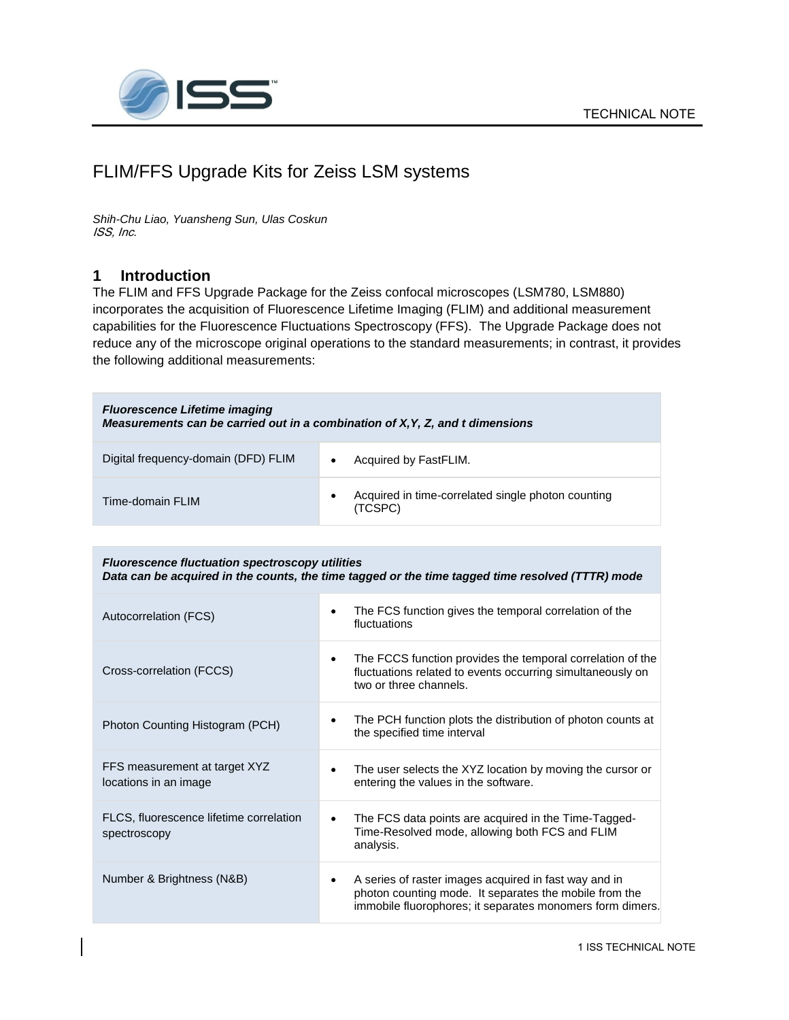

# FLIM/FFS Upgrade Kits for Zeiss LSM systems

*Shih-Chu Liao, Yuansheng Sun, Ulas Coskun* ISS, Inc.

### **1 Introduction**

The FLIM and FFS Upgrade Package for the Zeiss confocal microscopes (LSM780, LSM880) incorporates the acquisition of Fluorescence Lifetime Imaging (FLIM) and additional measurement capabilities for the Fluorescence Fluctuations Spectroscopy (FFS). The Upgrade Package does not reduce any of the microscope original operations to the standard measurements; in contrast, it provides the following additional measurements:

| <b>Fluorescence Lifetime imaging</b><br>Measurements can be carried out in a combination of X, Y, Z, and t dimensions |                                                                    |  |
|-----------------------------------------------------------------------------------------------------------------------|--------------------------------------------------------------------|--|
| Digital frequency-domain (DFD) FLIM                                                                                   | Acquired by FastFLIM.                                              |  |
| Time-domain FLIM                                                                                                      | Acquired in time-correlated single photon counting<br>٠<br>(TCSPC) |  |

| <b>Fluorescence fluctuation spectroscopy utilities</b><br>Data can be acquired in the counts, the time tagged or the time tagged time resolved (TTTR) mode |                                                                                                                                                                                   |  |
|------------------------------------------------------------------------------------------------------------------------------------------------------------|-----------------------------------------------------------------------------------------------------------------------------------------------------------------------------------|--|
| Autocorrelation (FCS)                                                                                                                                      | The FCS function gives the temporal correlation of the<br>$\bullet$<br>fluctuations                                                                                               |  |
| Cross-correlation (FCCS)                                                                                                                                   | The FCCS function provides the temporal correlation of the<br>$\bullet$<br>fluctuations related to events occurring simultaneously on<br>two or three channels.                   |  |
| Photon Counting Histogram (PCH)                                                                                                                            | The PCH function plots the distribution of photon counts at<br>٠<br>the specified time interval                                                                                   |  |
| FFS measurement at target XYZ<br>locations in an image                                                                                                     | The user selects the XYZ location by moving the cursor or<br>$\bullet$<br>entering the values in the software.                                                                    |  |
| FLCS, fluorescence lifetime correlation<br>spectroscopy                                                                                                    | The FCS data points are acquired in the Time-Tagged-<br>٠<br>Time-Resolved mode, allowing both FCS and FLIM<br>analysis.                                                          |  |
| Number & Brightness (N&B)                                                                                                                                  | A series of raster images acquired in fast way and in<br>٠<br>photon counting mode. It separates the mobile from the<br>immobile fluorophores; it separates monomers form dimers. |  |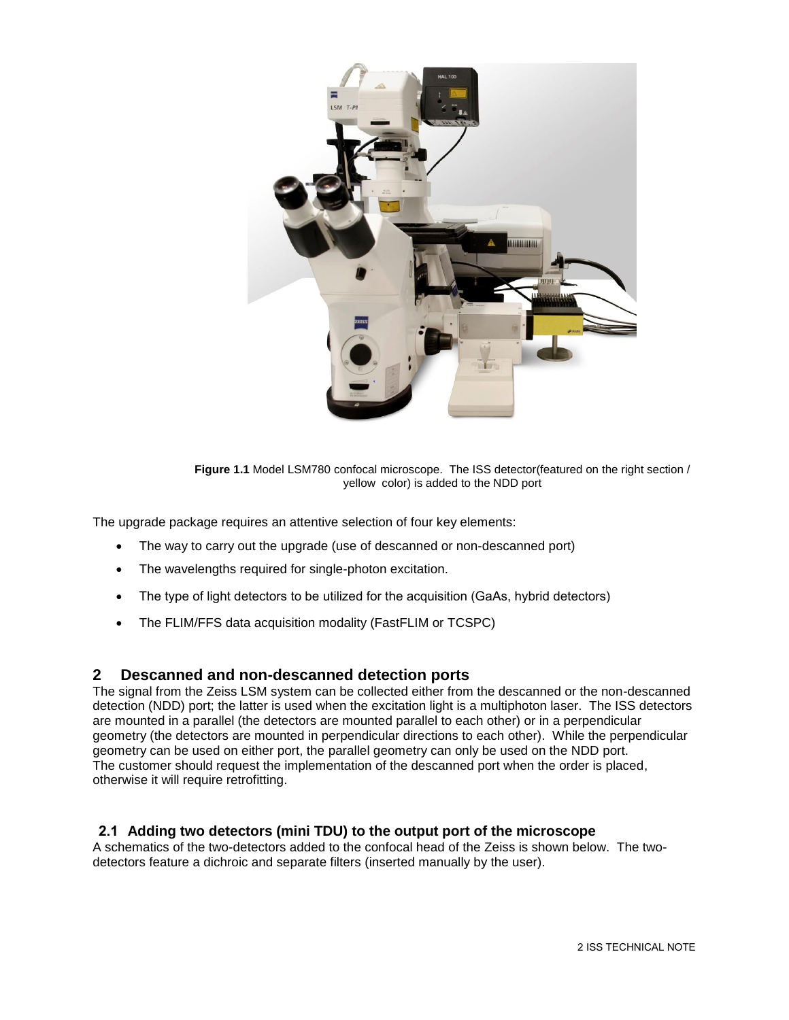

**Figure 1.1** Model LSM780 confocal microscope. The ISS detector(featured on the right section / yellow color) is added to the NDD port

The upgrade package requires an attentive selection of four key elements:

- The way to carry out the upgrade (use of descanned or non-descanned port)
- The wavelengths required for single-photon excitation.
- The type of light detectors to be utilized for the acquisition (GaAs, hybrid detectors)
- The FLIM/FFS data acquisition modality (FastFLIM or TCSPC)

#### **2 Descanned and non-descanned detection ports**

The signal from the Zeiss LSM system can be collected either from the descanned or the non-descanned detection (NDD) port; the latter is used when the excitation light is a multiphoton laser. The ISS detectors are mounted in a parallel (the detectors are mounted parallel to each other) or in a perpendicular geometry (the detectors are mounted in perpendicular directions to each other). While the perpendicular geometry can be used on either port, the parallel geometry can only be used on the NDD port. The customer should request the implementation of the descanned port when the order is placed, otherwise it will require retrofitting.

#### **2.1 Adding two detectors (mini TDU) to the output port of the microscope**

A schematics of the two-detectors added to the confocal head of the Zeiss is shown below. The twodetectors feature a dichroic and separate filters (inserted manually by the user).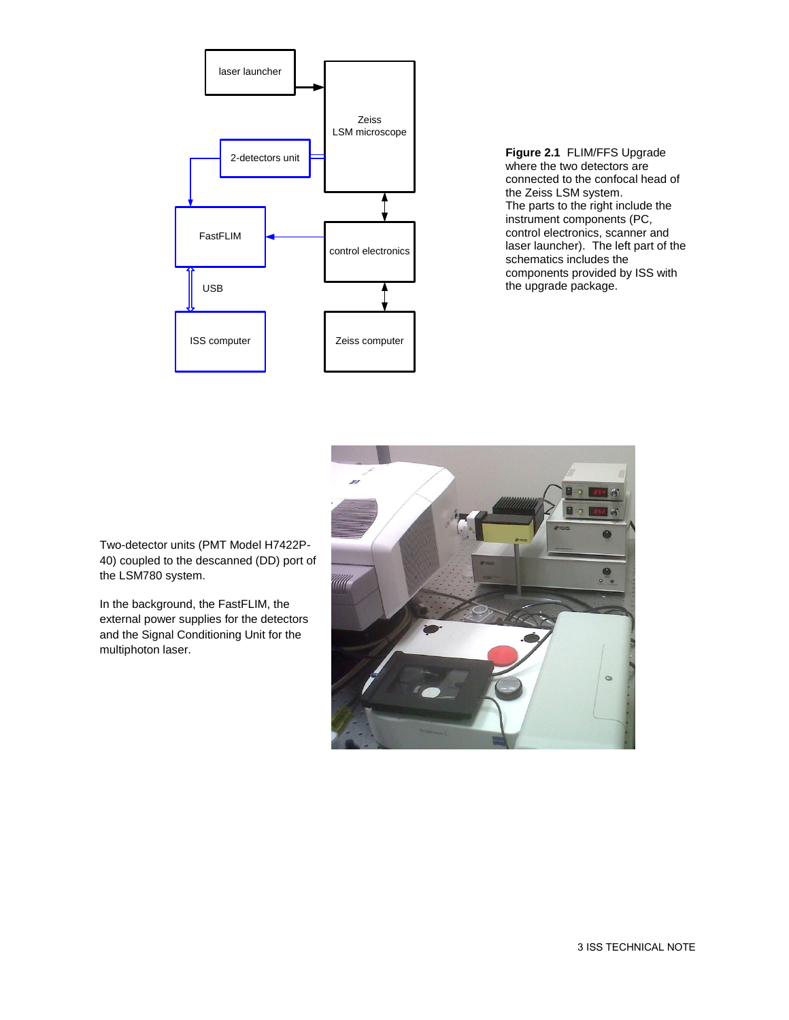

**Figure 2.1** FLIM/FFS Upgrade where the two detectors are connected to the confocal head of the Zeiss LSM system. The parts to the right include the instrument components (PC, control electronics, scanner and laser launcher). The left part of the schematics includes the components provided by ISS with the upgrade package.



Two-detector units (PMT Model H7422P-40) coupled to the descanned (DD) port of the LSM780 system.

In the background, the FastFLIM, the external power supplies for the detectors and the Signal Conditioning Unit for the multiphoton laser.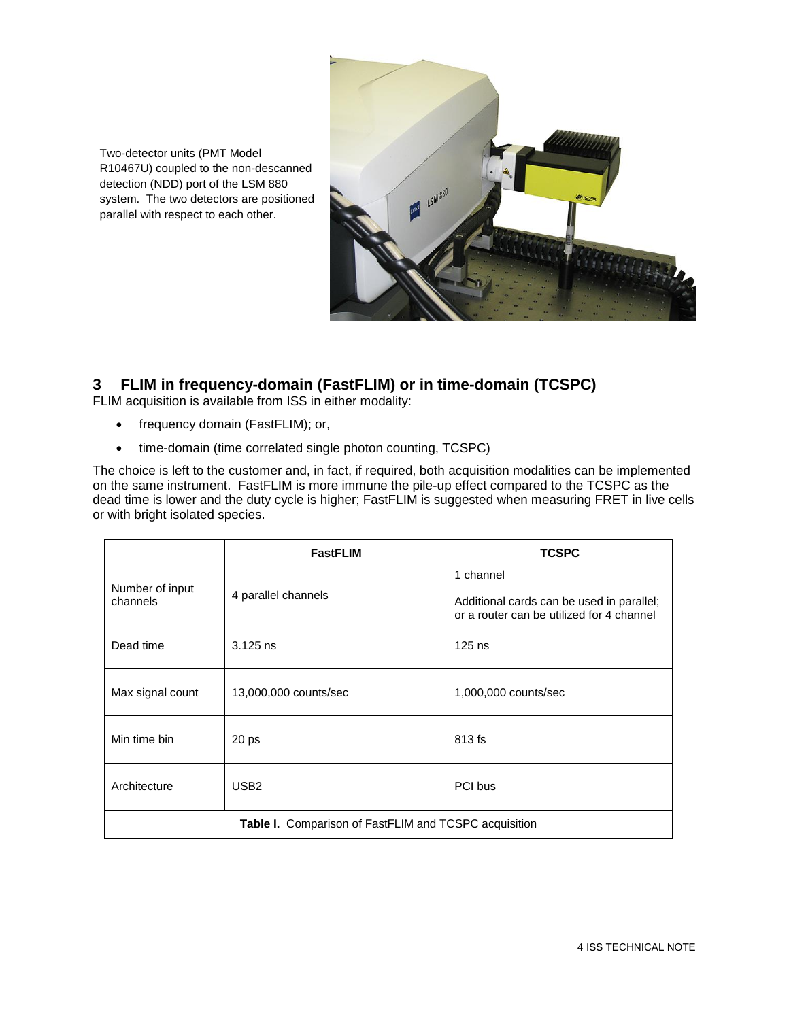

Two-detector units (PMT Model R10467U) coupled to the non-descanned detection (NDD) port of the LSM 880 system. The two detectors are positioned parallel with respect to each other.

# **3 FLIM in frequency-domain (FastFLIM) or in time-domain (TCSPC)**

FLIM acquisition is available from ISS in either modality:

- frequency domain (FastFLIM); or,
- time-domain (time correlated single photon counting, TCSPC)

The choice is left to the customer and, in fact, if required, both acquisition modalities can be implemented on the same instrument. FastFLIM is more immune the pile-up effect compared to the TCSPC as the dead time is lower and the duty cycle is higher; FastFLIM is suggested when measuring FRET in live cells or with bright isolated species.

|                                                              | <b>FastFLIM</b>       | <b>TCSPC</b>                                                                                        |  |
|--------------------------------------------------------------|-----------------------|-----------------------------------------------------------------------------------------------------|--|
| Number of input<br>channels                                  | 4 parallel channels   | 1 channel<br>Additional cards can be used in parallel;<br>or a router can be utilized for 4 channel |  |
| Dead time                                                    | $3.125$ ns            | $125$ ns                                                                                            |  |
| Max signal count                                             | 13,000,000 counts/sec | 1,000,000 counts/sec                                                                                |  |
| Min time bin                                                 | 20 <sub>ps</sub>      | 813 fs                                                                                              |  |
| Architecture                                                 | USB <sub>2</sub>      | PCI bus                                                                                             |  |
| <b>Table I.</b> Comparison of FastFLIM and TCSPC acquisition |                       |                                                                                                     |  |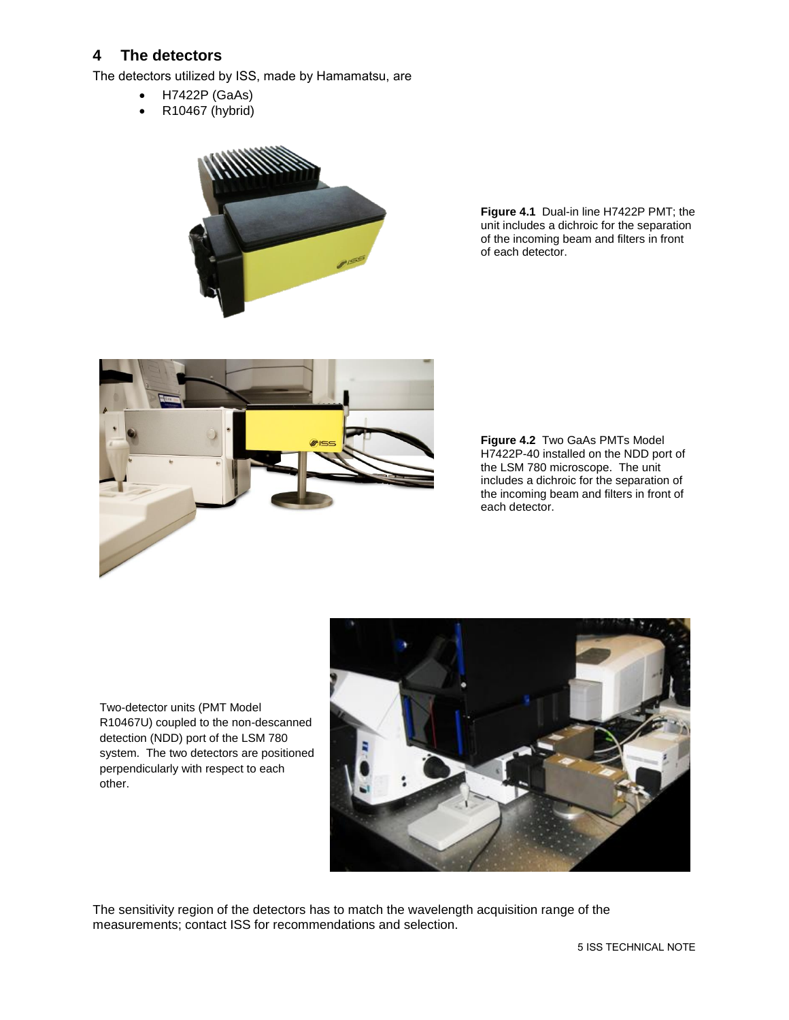## **4 The detectors**

The detectors utilized by ISS, made by Hamamatsu, are

- H7422P (GaAs)
- R10467 (hybrid)



**Figure 4.1** Dual-in line H7422P PMT; the unit includes a dichroic for the separation of the incoming beam and filters in front of each detector.



**Figure 4.2** Two GaAs PMTs Model H7422P-40 installed on the NDD port of the LSM 780 microscope. The unit includes a dichroic for the separation of the incoming beam and filters in front of each detector.

Two-detector units (PMT Model R10467U) coupled to the non-descanned detection (NDD) port of the LSM 780 system. The two detectors are positioned perpendicularly with respect to each other.



The sensitivity region of the detectors has to match the wavelength acquisition range of the measurements; contact ISS for recommendations and selection.